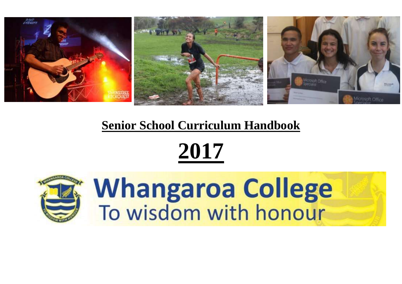

# **Senior School Curriculum Handbook**

# **2017**



# **Whangaroa College**<br>To wisdom with honour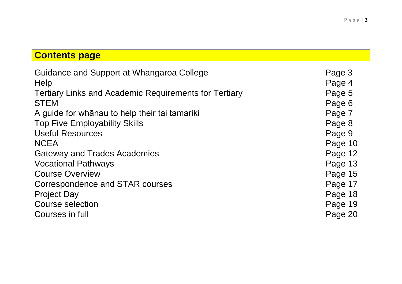# **Contents page**

| Guidance and Support at Whangaroa College<br>Help            | Page 3<br>Page 4 |
|--------------------------------------------------------------|------------------|
| <b>Tertiary Links and Academic Requirements for Tertiary</b> | Page 5           |
| <b>STEM</b>                                                  | Page 6           |
| A guide for whanau to help their tai tamariki                | Page 7           |
| <b>Top Five Employability Skills</b>                         | Page 8           |
| <b>Useful Resources</b>                                      | Page 9           |
| <b>NCEA</b>                                                  | Page 10          |
| <b>Gateway and Trades Academies</b>                          | Page 12          |
| <b>Vocational Pathways</b>                                   | Page 13          |
| <b>Course Overview</b>                                       | Page 15          |
| Correspondence and STAR courses                              | Page 17          |
| <b>Project Day</b>                                           | Page 18          |
| Course selection                                             | Page 19          |
| Courses in full                                              | Page 20          |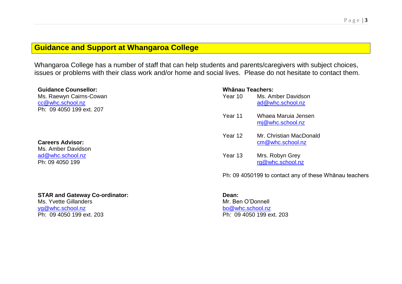#### **Guidance and Support at Whangaroa College**

Whangaroa College has a number of staff that can help students and parents/caregivers with subject choices, issues or problems with their class work and/or home and social lives. Please do not hesitate to contact them.

| <b>Guidance Counsellor:</b> |  |  |  |  |
|-----------------------------|--|--|--|--|
| Ms. Raewyn Cairns-Cowan     |  |  |  |  |
| cc@whc.school.nz            |  |  |  |  |
| Ph: 09 4050 199 ext. 207    |  |  |  |  |

#### **Careers Advisor:**

Ms. Amber Davidson [ad@whc.school.nz](mailto:ad@whc.school.nz) Ph: 09 4050 199

#### **Whānau Teachers:**

Year 10 Ms. Amber Davidson [ad@whc.school.nz](mailto:ad@whc.school.nz) Year 11 Whaea Maruia Jensen [mj@whc.school.nz](mailto:mj@whc.school.nz) Year 12 Mr. Christian MacDonald [cm@whc.school.nz](mailto:cm@whc.school.nz) Year 13 Mrs. Robyn Grey [rg@whc.school.nz](mailto:rg@whc.school.nz)

Ph: 09 4050199 to contact any of these Whānau teachers

#### **STAR and Gateway Co-ordinator:**

Ms. Yvette Gillanders [yg@whc.school.nz](mailto:yg@whc.school.nz) Ph: 09 4050 199 ext. 203

#### **Dean:**

Mr. Ben O'Donnell [bo@whc.school.nz](mailto:bo@whc.school.nz) Ph: 09 4050 199 ext. 203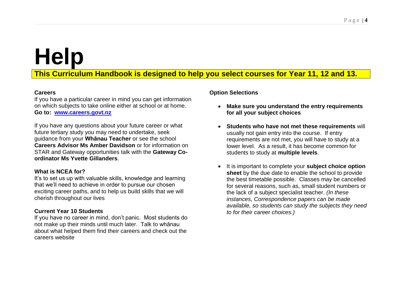# **Help**

# **This Curriculum Handbook is designed to help you select courses for Year 11, 12 and 13.**

#### **Careers**

If you have a particular career in mind you can get information on which subjects to take online either at school or at home. **Go to: [www.careers.govt.nz](http://www.careers.govt.nz/)**

If you have any questions about your future career or what future tertiary study you may need to undertake, seek guidance from your **Whānau Teacher** or see the school **Careers Advisor Ms Amber Davidson** or for information on STAR and Gateway opportunities talk with the **Gateway Coordinator Ms Yvette Gillanders**.

#### **What is NCEA for?**

It's to set us up with valuable skills, knowledge and learning that we'll need to achieve in order to pursue our chosen exciting career paths, and to help us build skills that we will cherish throughout our lives

#### **Current Year 10 Students**

If you have no career in mind, don't panic. Most students do not make up their minds until much later. Talk to whānau about what helped them find their careers and check out the careers website

#### **Option Selections**

- **Make sure you understand the entry requirements for all your subject choices**
- **Students who have not met these requirements** will usually not gain entry into the course. If entry requirements are not met, you will have to study at a lower level. As a result, it has become common for students to study at **multiple levels**.
- It is important to complete your **subject choice option sheet** by the due date to enable the school to provide the best timetable possible. Classes may be cancelled for several reasons, such as, small student numbers or the lack of a subject specialist teacher. *(In these instances, Correspondence papers can be made available, so students can study the subjects they need to for their career choices.)*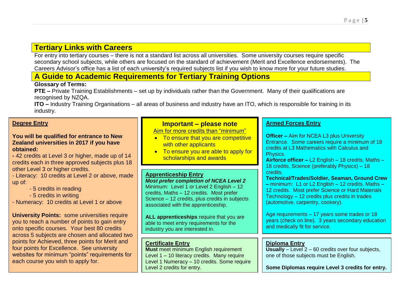#### **Tertiary Links with Careers**

For entry into tertiary courses – there is not a standard list across all universities. Some university courses require specific secondary school subjects, while others are focused on the standard of achievement (Merit and Excellence endorsements). The Careers Advisor's office has a list of each university's required subjects list if you wish to know more for your future studies.

#### **A Guide to Academic Requirements for Tertiary Training Options**

#### **Glossary of Terms:**

**PTE –** Private Training Establishments – set up by individuals rather than the Government. Many of their qualifications are recognised by NZQA.

**ITO –** Industry Training Organisations – all areas of business and industry have an ITO, which is responsible for training in its industry.

#### **Degree Entry**

#### **You will be qualified for entrance to New Zealand universities in 2017 if you have obtained:**

**-** 42 credits at Level 3 or higher, made up of 14 credits each in three approved subjects plus 18 other Level 3 or higher credits.

- Literacy: 10 credits at Level 2 or above, made up of:

- 5 credits in reading
- 5 credits in writing
- Numeracy: 10 credits at Level 1 or above

**University Points:** some universities require you to reach a number of points to gain entry onto specific courses. Your best 80 credits across 5 subjects are chosen and allocated two points for Achieved, three points for Merit and four points for Excellence. See university websites for minimum "points" requirements for each course you wish to apply for.

#### **Important – please note**

Aim for more credits than "minimum"

- To ensure that you are competitive with other applicants
- To ensure you are able to apply for scholarships and awards

#### **Apprenticeship Entry**

*Most prefer completion of NCEA Level 2* Minimum: Level 1 or Level 2 English – 12 credits, Maths – 12 credits. Most prefer Science – 12 credits, plus credits in subjects associated with the apprenticeship.

**ALL apprenticeships** require that you are able to meet entry requirements for the industry you are interested in.

#### **Certificate Entry**

**Must** meet minimum English requirement Level 1 – 10 literacy credits. Many require Level 1 Numeracy – 10 credits. Some require Level 2 credits for entry.

#### **Armed Forces Entry**

**Officer –** Aim for NCEA L3 plus University Entrance. Some careers require a minimum of 18 credits at L3 Mathematics with Calculus and Physics. **Airforce officer –** L2 English – 18 credits, Maths – 18 credits, Science (preferably Physics) – 18 credits. **Technical/Trades/Soldier, Seaman, Ground Crew –** minimum: L1 or L2 English – 12 credits, Maths – 12 credits. Most prefer Science or Hard Materials Technology – 12 credits plus credits in trades (automotive, carpentry, cookery).

Age requirements – 17 years some trades or 18 years (check on line). 3 years secondary education and medically fit for service.

#### **Diploma Entry**

**Usually** – Level 2 – 60 credits over four subjects, one of those subjects must be English.

**Some Diplomas require Level 3 credits for entry.**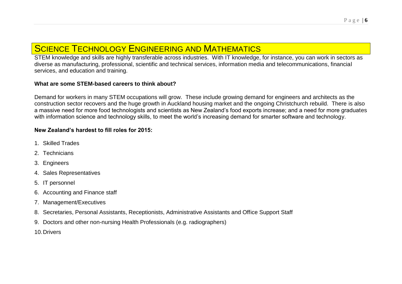# SCIENCE TECHNOLOGY ENGINEERING AND MATHEMATICS

STEM knowledge and skills are highly transferable across industries. With IT knowledge, for instance, you can work in sectors as diverse as manufacturing, professional, scientific and technical services, information media and telecommunications, financial services, and education and training.

#### **What are some STEM-based careers to think about?**

Demand for workers in many STEM occupations will grow. These include growing demand for engineers and architects as the construction sector recovers and the huge growth in Auckland housing market and the ongoing Christchurch rebuild. There is also a massive need for more food technologists and scientists as New Zealand's food exports increase; and a need for more graduates with information science and technology skills, to meet the world's increasing demand for smarter software and technology.

#### **New Zealand's hardest to fill roles for 2015:**

- 1. Skilled Trades
- 2. Technicians
- 3. Engineers
- 4. Sales Representatives
- 5. IT personnel
- 6. Accounting and Finance staff
- 7. Management/Executives
- 8. Secretaries, Personal Assistants, Receptionists, Administrative Assistants and Office Support Staff
- 9. Doctors and other non-nursing Health Professionals (e.g. radiographers)
- 10.Drivers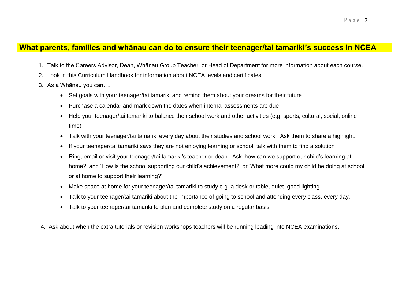#### **What parents, families and whānau can do to ensure their teenager/tai tamariki's success in NCEA**

- 1. Talk to the Careers Advisor, Dean, Whānau Group Teacher, or Head of Department for more information about each course.
- 2. Look in this Curriculum Handbook for information about NCEA levels and certificates
- 3. As a Whānau you can….
	- Set goals with your teenager/tai tamariki and remind them about your dreams for their future
	- Purchase a calendar and mark down the dates when internal assessments are due
	- Help your teenager/tai tamariki to balance their school work and other activities (e.g. sports, cultural, social, online time)
	- Talk with your teenager/tai tamariki every day about their studies and school work. Ask them to share a highlight.
	- If your teenager/tai tamariki says they are not enjoying learning or school, talk with them to find a solution
	- Ring, email or visit your teenager/tai tamariki's teacher or dean. Ask 'how can we support our child's learning at home?' and 'How is the school supporting our child's achievement?' or 'What more could my child be doing at school or at home to support their learning?'
	- Make space at home for your teenager/tai tamariki to study e.g. a desk or table, quiet, good lighting.
	- Talk to your teenager/tai tamariki about the importance of going to school and attending every class, every day.
	- Talk to your teenager/tai tamariki to plan and complete study on a regular basis
- 4. Ask about when the extra tutorials or revision workshops teachers will be running leading into NCEA examinations.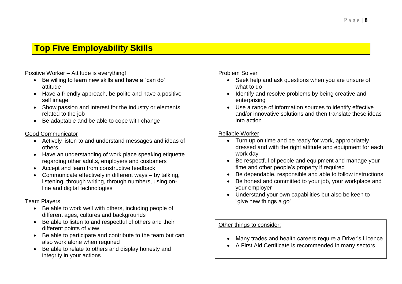# **Top Five Employability Skills**

#### Positive Worker – Attitude is everything!

- Be willing to learn new skills and have a "can do" attitude
- Have a friendly approach, be polite and have a positive self image
- Show passion and interest for the industry or elements related to the job
- Be adaptable and be able to cope with change

#### Good Communicator

- Actively listen to and understand messages and ideas of others
- Have an understanding of work place speaking etiquette regarding other adults, employers and customers
- Accept and learn from constructive feedback
- Communicate effectively in different ways by talking, listening, through writing, through numbers, using online and digital technologies

#### Team Players

- Be able to work well with others, including people of different ages, cultures and backgrounds
- Be able to listen to and respectful of others and their different points of view
- Be able to participate and contribute to the team but can also work alone when required
- Be able to relate to others and display honesty and integrity in your actions

#### Problem Solver

- Seek help and ask questions when you are unsure of what to do
- Identify and resolve problems by being creative and enterprising
- Use a range of information sources to identify effective and/or innovative solutions and then translate these ideas into action

#### Reliable Worker

- Turn up on time and be ready for work, appropriately dressed and with the right attitude and equipment for each work day
- Be respectful of people and equipment and manage your time and other people's property if required
- Be dependable, responsible and able to follow instructions
- Be honest and committed to your job, your workplace and your employer
- Understand your own capabilities but also be keen to "give new things a go"

#### Other things to consider:

- Many trades and health careers require a Driver's Licence
- A First Aid Certificate is recommended in many sectors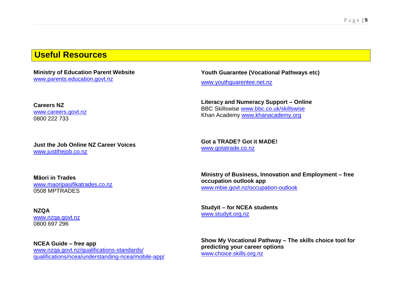## **Useful Resources**

**Ministry of Education Parent Website**  [www.parents.education.govt.nz](http://www.parents.education.govt.nz/)

**Careers NZ** [www.careers.govt.nz](http://www.careers.govt.nz/) 0800 222 733

**Just the Job Online NZ Career Voices** [www.justthejob.co.nz](http://www.justthejob.co.nz/)

**Māori in Trades** [www.maoripasifikatrades.co.nz](http://www.maoripasifikatrades.co.nz/) 0508 MPTRADES

**NZQA** [www.nzqa.govt.nz](http://www.nzqa.govt.nz/) 0800 697 296

**NCEA Guide – free app** [www.nzqa.govt.nz/qualifications-standards/](http://www.nzqa.govt.nz/qualifications-standards/) qualifications/ncea/understanding-ncea/mobile-app/ **Youth Guarantee (Vocational Pathways etc)**

[www.youthguarentee.net.nz](http://www.youthguarentee.net.nz/)

**Literacy and Numeracy Support – Online** BBC Skillswise [www.bbc.co.uk/skillswise](http://www.bbc.co.uk/skillswise) Khan Academy [www.khanacademy.org](http://www.khanacademy.org/)

**Got a TRADE? Got it MADE!** [www.gotatrade.co.nz](http://www.gotatrade.co.nz/)

**Ministry of Business, Innovation and Employment – free occupation outlook app** [www.mbie.govt.nz/occupation-outlook](http://www.mbie.govt.nz/occupation-outlook)

**Studyit – for NCEA students** [www.studyit.org.nz](http://www.studyit.org.nz/)

**Show My Vocational Pathway – The skills choice tool for predicting your career options** [www.choice.skills.org.nz](http://www.choice.skills.org.nz/)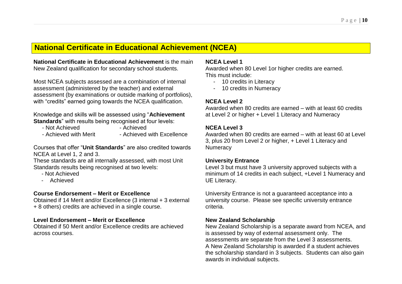#### **National Certificate in Educational Achievement (NCEA)**

**National Certificate in Educational Achievement** is the main New Zealand qualification for secondary school students.

Most NCEA subjects assessed are a combination of internal assessment (administered by the teacher) and external assessment (by examinations or outside marking of portfolios), with "credits" earned going towards the NCEA qualification.

Knowledge and skills will be assessed using "**Achievement Standards**" with results being recognised at four levels:

- Not Achieved Achieved
	-
- 
- Achieved with Merit Achieved with Excellence

Courses that offer "**Unit Standards**" are also credited towards NCEA at Level 1, 2 and 3.

These standards are all internally assessed, with most Unit Standards results being recognised at two levels:

- Not Achieved
- Achieved

#### **Course Endorsement – Merit or Excellence**

Obtained if 14 Merit and/or Excellence (3 internal + 3 external + 8 others) credits are achieved in a single course.

#### **Level Endorsement – Merit or Excellence**

Obtained if 50 Merit and/or Excellence credits are achieved across courses.

#### **NCEA Level 1**

Awarded when 80 Level 1or higher credits are earned. This must include:

- 10 credits in Literacy
- 10 credits in Numeracy

#### **NCEA Level 2**

Awarded when 80 credits are earned – with at least 60 credits at Level 2 or higher + Level 1 Literacy and Numeracy

#### **NCEA Level 3**

Awarded when 80 credits are earned – with at least 60 at Level 3, plus 20 from Level 2 or higher, + Level 1 Literacy and **Numeracy** 

#### **University Entrance**

Level 3 but must have 3 university approved subjects with a minimum of 14 credits in each subject, +Level 1 Numeracy and UE Literacy.

University Entrance is not a guaranteed acceptance into a university course. Please see specific university entrance criteria.

#### **New Zealand Scholarship**

New Zealand Scholarship is a separate award from NCEA, and is assessed by way of external assessment only. The assessments are separate from the Level 3 assessments. A New Zealand Scholarship is awarded if a student achieves the scholarship standard in 3 subjects. Students can also gain awards in individual subjects.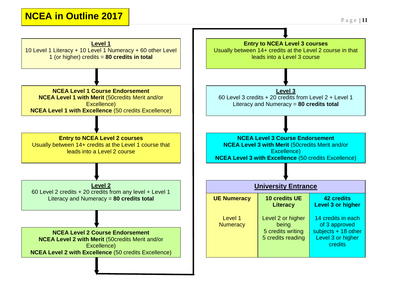

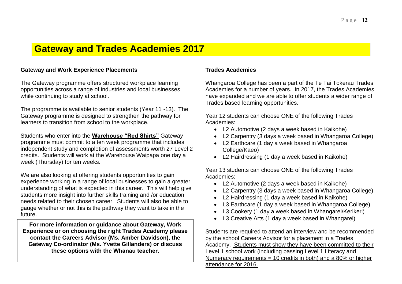# **Gateway and Trades Academies 2017**

#### **Gateway and Work Experience Placements**

The Gateway programme offers structured workplace learning opportunities across a range of industries and local businesses while continuing to study at school.

The programme is available to senior students (Year 11 -13). The Gateway programme is designed to strengthen the pathway for learners to transition from school to the workplace.

Students who enter into the **Warehouse "Red Shirts"** Gateway programme must commit to a ten week programme that includes independent study and completion of assessments worth 27 Level 2 credits. Students will work at the Warehouse Waipapa one day a week (Thursday) for ten weeks.

We are also looking at offering students opportunities to gain experience working in a range of local businesses to gain a greater understanding of what is expected in this career. This will help give students more insight into further skills training and /or education needs related to their chosen career. Students will also be able to gauge whether or not this is the pathway they want to take in the future.

**For more information or guidance about Gateway, Work Experience or on choosing the right Trades Academy please contact the Careers Advisor (Ms. Amber Davidson), the Gateway Co-ordinator (Ms. Yvette Gillanders) or discuss these options with the Whānau teacher.**

#### **Trades Academies**

Whangaroa College has been a part of the Te Tai Tokerau Trades Academies for a number of years. In 2017, the Trades Academies have expanded and we are able to offer students a wider range of Trades based learning opportunities.

Year 12 students can choose ONE of the following Trades Academies:

- L2 Automotive (2 days a week based in Kaikohe)
- L2 Carpentry (3 days a week based in Whangaroa College)
- L2 Earthcare (1 day a week based in Whangaroa College/Kaeo)
- L2 Hairdressing (1 day a week based in Kaikohe)

Year 13 students can choose ONE of the following Trades Academies:

- L2 Automotive (2 days a week based in Kaikohe)
- L2 Carpentry (3 days a week based in Whangaroa College)
- L2 Hairdressing (1 day a week based in Kaikohe)
- L3 Earthcare (1 day a week based in Whangaroa College)
- L3 Cookery (1 day a week based in Whangarei/Kerikeri)
- L3 Creative Arts (1 day a week based in Whangarei)

Students are required to attend an interview and be recommended by the school Careers Advisor for a placement in a Trades Academy. Students must show they have been committed to their Level 1 school work (including passing Level 1 Literacy and Numeracy requirements = 10 credits in both) and a 80% or higher attendance for 2016.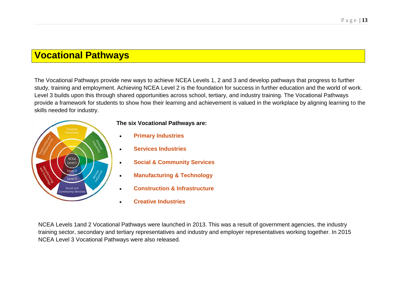# **Vocational Pathways**

The Vocational Pathways provide new ways to achieve NCEA Levels 1, 2 and 3 and develop pathways that progress to further study, training and employment. Achieving NCEA Level 2 is the foundation for success in further education and the world of work. Level 3 builds upon this through shared opportunities across school, tertiary, and industry training. The Vocational Pathways provide a framework for students to show how their learning and achievement is valued in the workplace by aligning learning to the skills needed for industry.



**The six Vocational Pathways are:**

- **[Primary Industries](http://youthguarantee.net.nz/vocational-pathways/the-six-vocational-pathways/primary-industries-pathway/)**
- **[Services Industries](http://youthguarantee.net.nz/vocational-pathways/the-six-vocational-pathways/service-industries-pathway/)**
- **[Social & Community Services](http://youthguarantee.net.nz/vocational-pathways/the-six-vocational-pathways/social-and-community-services-pathway/)**
- **[Manufacturing & Technology](http://youthguarantee.net.nz/vocational-pathways/the-six-vocational-pathways/manufacturing-and-technology-pathway/)**
	- **[Construction & Infrastructure](http://youthguarantee.net.nz/vocational-pathways/the-six-vocational-pathways/construction-and-infrastructure-pathway/)**
- **[Creative Industries](http://youthguarantee.net.nz/vocational-pathways/the-six-vocational-pathways/creative-industries-pathway/)**

NCEA Levels 1and 2 Vocational Pathways were launched in 2013. This was a result of government agencies, the industry training sector, secondary and tertiary representatives and industry and employer representatives working together. In 2015 NCEA Level 3 Vocational Pathways were also released.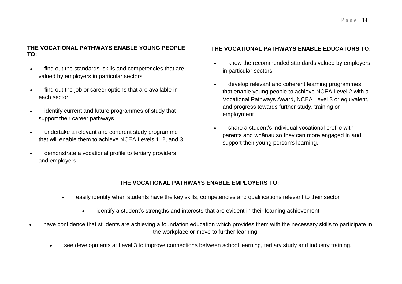#### **THE VOCATIONAL PATHWAYS ENABLE YOUNG PEOPLE TO:**

- find out the standards, skills and competencies that are valued by employers in particular sectors
- find out the job or career options that are available in each sector
- identify current and future programmes of study that support their career pathways
- undertake a relevant and coherent study programme that will enable them to achieve NCEA Levels 1, 2, and 3
- demonstrate a vocational profile to tertiary providers and employers.

#### **THE VOCATIONAL PATHWAYS ENABLE EDUCATORS TO:**

- know the recommended standards valued by employers in particular sectors
- develop relevant and coherent learning programmes that enable young people to achieve NCEA Level 2 with a Vocational Pathways Award, NCEA Level 3 or equivalent, and progress towards further study, training or employment
- share a student's individual vocational profile with parents and whānau so they can more engaged in and support their young person's learning.

#### **THE VOCATIONAL PATHWAYS ENABLE EMPLOYERS TO:**

- easily identify when students have the key skills, competencies and qualifications relevant to their sector
	- identify a student's strengths and interests that are evident in their learning achievement
- have confidence that students are achieving a foundation education which provides them with the necessary skills to participate in the workplace or move to further learning
	- see developments at Level 3 to improve connections between school learning, tertiary study and industry training.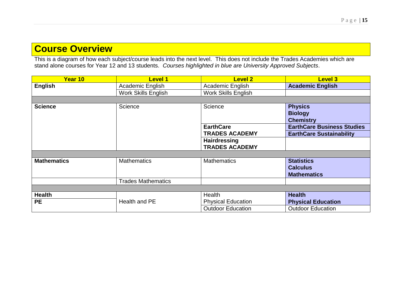# **Course Overview**

This is a diagram of how each subject/course leads into the next level. This does not include the Trades Academies which are stand alone courses for Year 12 and 13 students. *Courses highlighted in blue are University Approved Subjects*.

| Year 10            | <b>Level 1</b>             | <b>Level 2</b>             | <b>Level 3</b>                    |
|--------------------|----------------------------|----------------------------|-----------------------------------|
| <b>English</b>     | Academic English           | Academic English           | <b>Academic English</b>           |
|                    | <b>Work Skills English</b> | <b>Work Skills English</b> |                                   |
|                    |                            |                            |                                   |
| <b>Science</b>     | Science                    | Science                    | <b>Physics</b>                    |
|                    |                            |                            | <b>Biology</b>                    |
|                    |                            |                            | <b>Chemistry</b>                  |
|                    |                            | <b>EarthCare</b>           | <b>EarthCare Business Studies</b> |
|                    |                            | <b>TRADES ACADEMY</b>      | <b>EarthCare Sustainability</b>   |
|                    |                            | Hairdressing               |                                   |
|                    |                            | <b>TRADES ACADEMY</b>      |                                   |
|                    |                            |                            |                                   |
| <b>Mathematics</b> | <b>Mathematics</b>         | <b>Mathematics</b>         | <b>Statistics</b>                 |
|                    |                            |                            | <b>Calculus</b>                   |
|                    |                            |                            | <b>Mathematics</b>                |
|                    | <b>Trades Mathematics</b>  |                            |                                   |
|                    |                            |                            |                                   |
| <b>Health</b>      |                            | Health                     | <b>Health</b>                     |
| <b>PE</b>          | Health and PE              | <b>Physical Education</b>  | <b>Physical Education</b>         |
|                    |                            | <b>Outdoor Education</b>   | <b>Outdoor Education</b>          |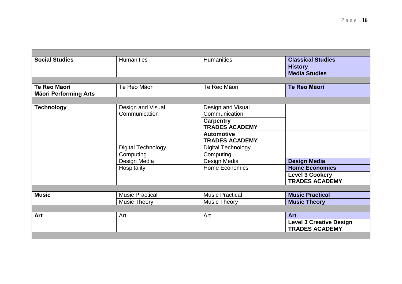| <b>Social Studies</b>                        | <b>Humanities</b>                  | <b>Humanities</b>                          | <b>Classical Studies</b><br><b>History</b><br><b>Media Studies</b> |
|----------------------------------------------|------------------------------------|--------------------------------------------|--------------------------------------------------------------------|
|                                              |                                    |                                            |                                                                    |
| Te Reo Māori<br><b>Mäori Performing Arts</b> | Te Reo Māori                       | Te Reo Māori                               | Te Reo Māori                                                       |
|                                              |                                    |                                            |                                                                    |
| <b>Technology</b>                            | Design and Visual<br>Communication | Design and Visual<br>Communication         |                                                                    |
|                                              |                                    | <b>Carpentry</b><br><b>TRADES ACADEMY</b>  |                                                                    |
|                                              |                                    | <b>Automotive</b><br><b>TRADES ACADEMY</b> |                                                                    |
|                                              | Digital Technology                 | <b>Digital Technology</b>                  |                                                                    |
|                                              | Computing                          | Computing                                  |                                                                    |
|                                              | Design Media                       | Design Media                               | <b>Design Media</b>                                                |
|                                              | Hospitality                        | <b>Home Economics</b>                      | <b>Home Economics</b>                                              |
|                                              |                                    |                                            | <b>Level 3 Cookery</b><br><b>TRADES ACADEMY</b>                    |
|                                              |                                    |                                            |                                                                    |
| <b>Music</b>                                 | <b>Music Practical</b>             | <b>Music Practical</b>                     | <b>Music Practical</b>                                             |
|                                              | <b>Music Theory</b>                | <b>Music Theory</b>                        | <b>Music Theory</b>                                                |
|                                              |                                    |                                            |                                                                    |
| Art                                          | Art                                | Art                                        | <b>Art</b>                                                         |
|                                              |                                    |                                            | <b>Level 3 Creative Design</b><br><b>TRADES ACADEMY</b>            |
|                                              |                                    |                                            |                                                                    |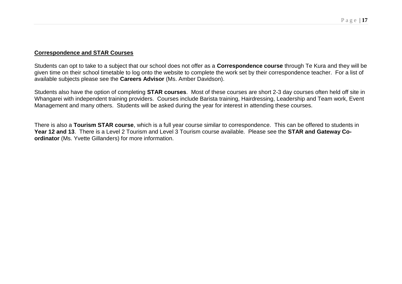#### **Correspondence and STAR Courses**

Students can opt to take to a subject that our school does not offer as a **Correspondence course** through Te Kura and they will be given time on their school timetable to log onto the website to complete the work set by their correspondence teacher. For a list of available subjects please see the **Careers Advisor** (Ms. Amber Davidson).

Students also have the option of completing **STAR courses**. Most of these courses are short 2-3 day courses often held off site in Whangarei with independent training providers. Courses include Barista training, Hairdressing, Leadership and Team work, Event Management and many others. Students will be asked during the year for interest in attending these courses.

There is also a **Tourism STAR course**, which is a full year course similar to correspondence. This can be offered to students in **Year 12 and 13**. There is a Level 2 Tourism and Level 3 Tourism course available. Please see the **STAR and Gateway Coordinator** (Ms. Yvette Gillanders) for more information.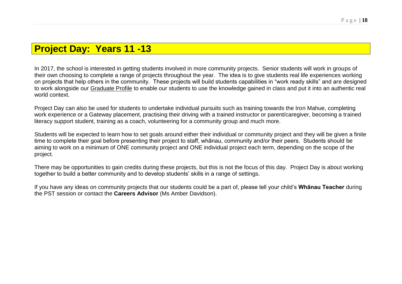# **Project Day: Years 11 -13**

In 2017, the school is interested in getting students involved in more community projects. Senior students will work in groups of their own choosing to complete a range of projects throughout the year. The idea is to give students real life experiences working on projects that help others in the community. These projects will build students capabilities in "work ready skills" and are designed to work alongside our Graduate Profile to enable our students to use the knowledge gained in class and put it into an authentic real world context.

Project Day can also be used for students to undertake individual pursuits such as training towards the Iron Mahue, completing work experience or a Gateway placement, practising their driving with a trained instructor or parent/caregiver, becoming a trained literacy support student, training as a coach, volunteering for a community group and much more.

Students will be expected to learn how to set goals around either their individual or community project and they will be given a finite time to complete their goal before presenting their project to staff, whānau, community and/or their peers. Students should be aiming to work on a minimum of ONE community project and ONE individual project each term, depending on the scope of the project.

There may be opportunities to gain credits during these projects, but this is not the focus of this day. Project Day is about working together to build a better community and to develop students' skills in a range of settings.

If you have any ideas on community projects that our students could be a part of, please tell your child's **Whānau Teacher** during the PST session or contact the **Careers Advisor** (Ms Amber Davidson).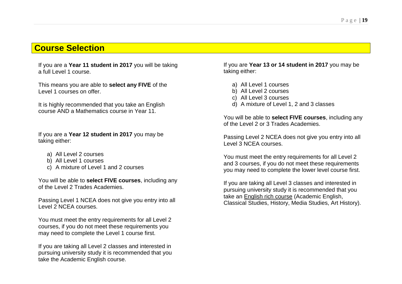# **Course Selection**

If you are a **Year 11 student in 2017** you will be taking a full Level 1 course.

This means you are able to **select any FIVE** of the Level 1 courses on offer.

It is highly recommended that you take an English course AND a Mathematics course in Year 11.

If you are a **Year 12 student in 2017** you may be taking either:

- a) All Level 2 courses
- b) All Level 1 courses
- c) A mixture of Level 1 and 2 courses

You will be able to **select FIVE courses**, including any of the Level 2 Trades Academies.

Passing Level 1 NCEA does not give you entry into all Level 2 NCEA courses.

You must meet the entry requirements for all Level 2 courses, if you do not meet these requirements you may need to complete the Level 1 course first.

If you are taking all Level 2 classes and interested in pursuing university study it is recommended that you take the Academic English course.

If you are **Year 13 or 14 student in 2017** you may be taking either:

- a) All Level 1 courses
- b) All Level 2 courses
- c) All Level 3 courses
- d) A mixture of Level 1, 2 and 3 classes

You will be able to **select FIVE courses**, including any of the Level 2 or 3 Trades Academies.

Passing Level 2 NCEA does not give you entry into all Level 3 NCEA courses.

You must meet the entry requirements for all Level 2 and 3 courses, if you do not meet these requirements you may need to complete the lower level course first.

If you are taking all Level 3 classes and interested in pursuing university study it is recommended that you take an English rich course (Academic English, Classical Studies, History, Media Studies, Art History).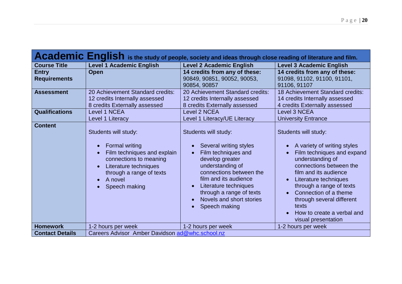| Academic English is the study of people, society and ideas through close reading of literature and film. |                                                                                                                                                                                         |                                                                                                                                                                                                                                                                    |                                                                                                                                                                                                                                                                                                                                                              |
|----------------------------------------------------------------------------------------------------------|-----------------------------------------------------------------------------------------------------------------------------------------------------------------------------------------|--------------------------------------------------------------------------------------------------------------------------------------------------------------------------------------------------------------------------------------------------------------------|--------------------------------------------------------------------------------------------------------------------------------------------------------------------------------------------------------------------------------------------------------------------------------------------------------------------------------------------------------------|
| <b>Course Title</b>                                                                                      | <b>Level 1 Academic English</b>                                                                                                                                                         | <b>Level 2 Academic English</b>                                                                                                                                                                                                                                    | <b>Level 3 Academic English</b>                                                                                                                                                                                                                                                                                                                              |
| <b>Entry</b><br><b>Requirements</b>                                                                      | <b>Open</b>                                                                                                                                                                             | 14 credits from any of these:<br>90849, 90851, 90052, 90053,<br>90854, 90857                                                                                                                                                                                       | 14 credits from any of these:<br>91098, 91102, 91100, 91101,<br>91106, 91107                                                                                                                                                                                                                                                                                 |
| <b>Assessment</b>                                                                                        | 20 Achievement Standard credits:<br>12 credits Internally assessed<br>8 credits Externally assessed                                                                                     | 20 Achievement Standard credits:<br>12 credits Internally assessed<br>8 credits Externally assessed                                                                                                                                                                | 18 Achievement Standard credits:<br>14 credits Internally assessed<br>4 credits Externally assessed                                                                                                                                                                                                                                                          |
| <b>Qualifications</b>                                                                                    | <b>Level 1 NCEA</b><br>Level 1 Literacy                                                                                                                                                 | Level 2 NCEA<br>Level 1 Literacy/UE Literacy                                                                                                                                                                                                                       | <b>Level 3 NCEA</b><br><b>University Entrance</b>                                                                                                                                                                                                                                                                                                            |
| <b>Content</b>                                                                                           | Students will study:<br><b>Formal writing</b><br>Film techniques and explain<br>connections to meaning<br>Literature techniques<br>through a range of texts<br>A novel<br>Speech making | Students will study:<br>Several writing styles<br>Film techniques and<br>develop greater<br>understanding of<br>connections between the<br>film and its audience<br>Literature techniques<br>through a range of texts<br>Novels and short stories<br>Speech making | Students will study:<br>A variety of writing styles<br>$\bullet$<br>Film techniques and expand<br>understanding of<br>connections between the<br>film and its audience<br>Literature techniques<br>$\bullet$<br>through a range of texts<br>Connection of a theme<br>through several different<br>texts<br>How to create a verbal and<br>visual presentation |
| <b>Homework</b>                                                                                          | 1-2 hours per week                                                                                                                                                                      | 1-2 hours per week                                                                                                                                                                                                                                                 | 1-2 hours per week                                                                                                                                                                                                                                                                                                                                           |
| <b>Contact Details</b>                                                                                   | Careers Advisor Amber Davidson ad@whc.school.nz                                                                                                                                         |                                                                                                                                                                                                                                                                    |                                                                                                                                                                                                                                                                                                                                                              |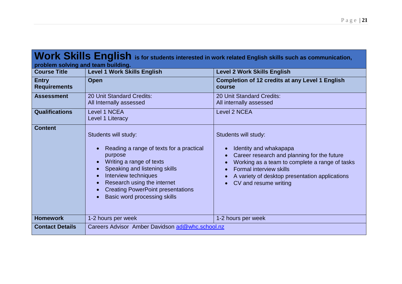| Work Skills English is for students interested in work related English skills such as communication, |                                                                                                                                                                                                                                                                             |                                                                                                                                                                                                                                                                                                     |  |  |
|------------------------------------------------------------------------------------------------------|-----------------------------------------------------------------------------------------------------------------------------------------------------------------------------------------------------------------------------------------------------------------------------|-----------------------------------------------------------------------------------------------------------------------------------------------------------------------------------------------------------------------------------------------------------------------------------------------------|--|--|
|                                                                                                      | problem solving and team building.                                                                                                                                                                                                                                          |                                                                                                                                                                                                                                                                                                     |  |  |
| <b>Course Title</b>                                                                                  | <b>Level 1 Work Skills English</b>                                                                                                                                                                                                                                          | <b>Level 2 Work Skills English</b>                                                                                                                                                                                                                                                                  |  |  |
| <b>Entry</b><br><b>Requirements</b>                                                                  | <b>Open</b>                                                                                                                                                                                                                                                                 | <b>Completion of 12 credits at any Level 1 English</b><br>course                                                                                                                                                                                                                                    |  |  |
| <b>Assessment</b>                                                                                    | 20 Unit Standard Credits:<br>All Internally assessed                                                                                                                                                                                                                        | 20 Unit Standard Credits:<br>All internally assessed                                                                                                                                                                                                                                                |  |  |
| <b>Qualifications</b>                                                                                | Level 1 NCEA<br>Level 1 Literacy                                                                                                                                                                                                                                            | Level 2 NCEA                                                                                                                                                                                                                                                                                        |  |  |
| <b>Content</b>                                                                                       | Students will study:<br>Reading a range of texts for a practical<br>purpose<br>Writing a range of texts<br>Speaking and listening skills<br>Interview techniques<br>Research using the internet<br><b>Creating PowerPoint presentations</b><br>Basic word processing skills | Students will study:<br>Identity and whakapapa<br>$\bullet$<br>Career research and planning for the future<br>$\bullet$<br>Working as a team to complete a range of tasks<br><b>Formal interview skills</b><br>$\bullet$<br>A variety of desktop presentation applications<br>CV and resume writing |  |  |
| <b>Homework</b>                                                                                      | 1-2 hours per week                                                                                                                                                                                                                                                          | 1-2 hours per week                                                                                                                                                                                                                                                                                  |  |  |
| <b>Contact Details</b>                                                                               | Careers Advisor Amber Davidson ad@whc.school.nz                                                                                                                                                                                                                             |                                                                                                                                                                                                                                                                                                     |  |  |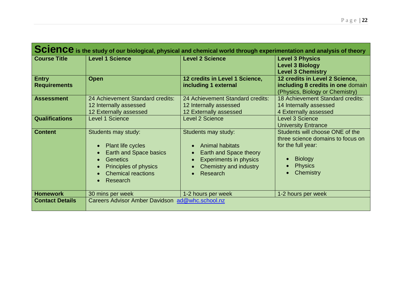| <b>Course Title</b>                 | Science is the study of our biological, physical and chemical world through experimentation and analysis of theory<br><b>Level 1 Science</b>            | <b>Level 2 Science</b>                                                                                                                         | <b>Level 3 Physics</b><br><b>Level 3 Biology</b>                                                                                                         |
|-------------------------------------|---------------------------------------------------------------------------------------------------------------------------------------------------------|------------------------------------------------------------------------------------------------------------------------------------------------|----------------------------------------------------------------------------------------------------------------------------------------------------------|
| <b>Entry</b><br><b>Requirements</b> | <b>Open</b>                                                                                                                                             | 12 credits in Level 1 Science,<br>including 1 external                                                                                         | <b>Level 3 Chemistry</b><br>12 credits in Level 2 Science,<br>including 8 credits in one domain<br>(Physics, Biology or Chemistry)                       |
| <b>Assessment</b>                   | 24 Achievement Standard credits:<br>12 Internally assessed<br>12 Externally assessed                                                                    | 24 Achievement Standard credits:<br>12 Internally assessed<br>12 Externally assessed                                                           | 18 Achievement Standard credits:<br>14 Internally assessed<br>4 Externally assessed                                                                      |
| <b>Qualifications</b>               | <b>Level 1 Science</b>                                                                                                                                  | <b>Level 2 Science</b>                                                                                                                         | <b>Level 3 Science</b><br><b>University Entrance</b>                                                                                                     |
| <b>Content</b>                      | Students may study:<br>Plant life cycles<br>Earth and Space basics<br><b>Genetics</b><br>Principles of physics<br><b>Chemical reactions</b><br>Research | Students may study:<br><b>Animal habitats</b><br>Earth and Space theory<br><b>Experiments in physics</b><br>Chemistry and industry<br>Research | Students will choose ONE of the<br>three science domains to focus on<br>for the full year:<br><b>Biology</b><br><b>Physics</b><br>Chemistry<br>$\bullet$ |
| <b>Homework</b>                     | 30 mins per week                                                                                                                                        | 1-2 hours per week                                                                                                                             | 1-2 hours per week                                                                                                                                       |
| <b>Contact Details</b>              | Careers Advisor Amber Davidson ad@whc.school.nz                                                                                                         |                                                                                                                                                |                                                                                                                                                          |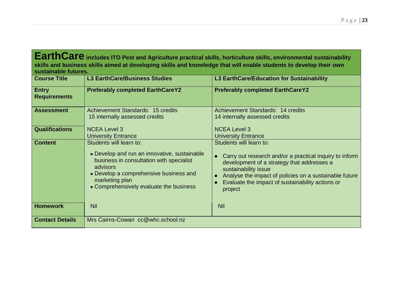| EarthCare includes ITO Pest and Agriculture practical skills, horticulture skills, environmental sustainability<br>skills and business skills aimed at developing skills and knowledge that will enable students to develop their own |                                                                                                                                                                                                                                        |                                                                                                                                                                                                                                                                                   |  |
|---------------------------------------------------------------------------------------------------------------------------------------------------------------------------------------------------------------------------------------|----------------------------------------------------------------------------------------------------------------------------------------------------------------------------------------------------------------------------------------|-----------------------------------------------------------------------------------------------------------------------------------------------------------------------------------------------------------------------------------------------------------------------------------|--|
| sustainable futures.<br><b>Course Title</b>                                                                                                                                                                                           | <b>L3 EarthCare/Business Studies</b>                                                                                                                                                                                                   | <b>L3 EarthCare/Education for Sustainability</b>                                                                                                                                                                                                                                  |  |
| <b>Entry</b><br><b>Requirements</b>                                                                                                                                                                                                   | <b>Preferably completed EarthCareY2</b>                                                                                                                                                                                                | <b>Preferably completed EarthCareY2</b>                                                                                                                                                                                                                                           |  |
| <b>Assessment</b>                                                                                                                                                                                                                     | <b>Achievement Standards: 15 credits</b><br>15 internally assessed credits                                                                                                                                                             | <b>Achievement Standards: 14 credits</b><br>14 internally assessed credits                                                                                                                                                                                                        |  |
| <b>Qualifications</b>                                                                                                                                                                                                                 | <b>NCEA Level 3</b><br><b>University Entrance</b>                                                                                                                                                                                      | <b>NCEA Level 3</b><br><b>University Entrance</b>                                                                                                                                                                                                                                 |  |
| <b>Content</b>                                                                                                                                                                                                                        | Students will learn to:<br>• Develop and run an innovative, sustainable<br>business in consultation with specialist<br>advisors<br>• Develop a comprehensive business and<br>marketing plan<br>• Comprehensively evaluate the business | Students will learn to:<br>Carry out research and/or a practical inquiry to inform<br>development of a strategy that addresses a<br>sustainability issue<br>Analyse the impact of policies on a sustainable future<br>Evaluate the impact of sustainability actions or<br>project |  |
| <b>Homework</b>                                                                                                                                                                                                                       | <b>Nil</b>                                                                                                                                                                                                                             | <b>Nil</b>                                                                                                                                                                                                                                                                        |  |
| <b>Contact Details</b>                                                                                                                                                                                                                | Mrs Cairns-Cowan cc@whc.school.nz                                                                                                                                                                                                      |                                                                                                                                                                                                                                                                                   |  |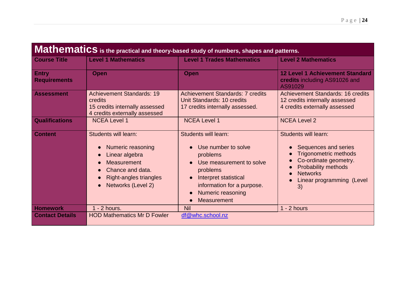| Mathematics is the practical and theory-based study of numbers, shapes and patterns. |                                                                                                                                                              |                                                                                                                                                                                                                  |                                                                                                                                                                                                        |
|--------------------------------------------------------------------------------------|--------------------------------------------------------------------------------------------------------------------------------------------------------------|------------------------------------------------------------------------------------------------------------------------------------------------------------------------------------------------------------------|--------------------------------------------------------------------------------------------------------------------------------------------------------------------------------------------------------|
| <b>Course Title</b>                                                                  | <b>Level 1 Mathematics</b>                                                                                                                                   | <b>Level 1 Trades Mathematics</b>                                                                                                                                                                                | <b>Level 2 Mathematics</b>                                                                                                                                                                             |
| <b>Entry</b><br><b>Requirements</b>                                                  | <b>Open</b>                                                                                                                                                  | <b>Open</b>                                                                                                                                                                                                      | <b>12 Level 1 Achievement Standard</b><br>credits including AS91026 and<br>AS91029                                                                                                                     |
| <b>Assessment</b>                                                                    | <b>Achievement Standards: 19</b><br>credits<br>15 credits internally assessed<br>4 credits externally assessed                                               | <b>Achievement Standards: 7 credits</b><br>Unit Standards: 10 credits<br>17 credits internally assessed.                                                                                                         | <b>Achievement Standards: 16 credits</b><br>12 credits internally assessed<br>4 credits externally assessed                                                                                            |
| <b>Qualifications</b>                                                                | <b>NCEA Level 1</b>                                                                                                                                          | <b>NCEA Level 1</b>                                                                                                                                                                                              | <b>NCEA Level 2</b>                                                                                                                                                                                    |
| <b>Content</b>                                                                       | <b>Students will learn:</b><br>Numeric reasoning<br>Linear algebra<br><b>Measurement</b><br>Chance and data.<br>Right-angles triangles<br>Networks (Level 2) | <b>Students will learn:</b><br>• Use number to solve<br>problems<br>Use measurement to solve<br>problems<br>Interpret statistical<br>$\bullet$<br>information for a purpose.<br>Numeric reasoning<br>Measurement | <b>Students will learn:</b><br>Sequences and series<br><b>Trigonometric methods</b><br>Co-ordinate geometry.<br>Probability methods<br><b>Networks</b><br>$\bullet$<br>Linear programming (Level<br>3) |
| <b>Homework</b>                                                                      | $1 - 2$ hours.                                                                                                                                               | Nil                                                                                                                                                                                                              | $1 - 2$ hours                                                                                                                                                                                          |
| <b>Contact Details</b>                                                               | <b>HOD Mathematics Mr D Fowler</b>                                                                                                                           | df@whc.school.nz                                                                                                                                                                                                 |                                                                                                                                                                                                        |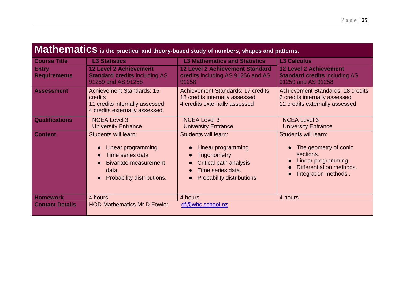| Mathematics is the practical and theory-based study of numbers, shapes and patterns. |                                                                                                                                              |                                                                                                                                                      |                                                                                                                                             |
|--------------------------------------------------------------------------------------|----------------------------------------------------------------------------------------------------------------------------------------------|------------------------------------------------------------------------------------------------------------------------------------------------------|---------------------------------------------------------------------------------------------------------------------------------------------|
| <b>Course Title</b>                                                                  | <b>L3 Statistics</b>                                                                                                                         | <b>L3 Mathematics and Statistics</b>                                                                                                                 | <b>L3 Calculus</b>                                                                                                                          |
| <b>Entry</b><br><b>Requirements</b>                                                  | <b>12 Level 2 Achievement</b><br><b>Standard credits including AS</b><br>91259 and AS 91258                                                  | <b>12 Level 2 Achievement Standard</b><br>credits including AS 91256 and AS<br>91258                                                                 | <b>12 Level 2 Achievement</b><br><b>Standard credits including AS</b><br>91259 and AS 91258                                                 |
| <b>Assessment</b>                                                                    | <b>Achievement Standards: 15</b><br>credits<br>11 credits internally assessed<br>4 credits externally assessed.                              | Achievement Standards: 17 credits<br>13 credits internally assessed<br>4 credits externally assessed                                                 | Achievement Standards: 18 credits<br>6 credits internally assessed<br>12 credits externally assessed                                        |
| <b>Qualifications</b>                                                                | <b>NCEA Level 3</b><br><b>University Entrance</b>                                                                                            | <b>NCEA Level 3</b><br><b>University Entrance</b>                                                                                                    | <b>NCEA Level 3</b><br><b>University Entrance</b>                                                                                           |
| <b>Content</b>                                                                       | <b>Students will learn:</b><br>Linear programming<br>Time series data<br><b>Bivariate measurement</b><br>data.<br>Probability distributions. | <b>Students will learn:</b><br>Linear programming<br>Trigonometry<br>Critical path analysis<br>Time series data.<br><b>Probability distributions</b> | <b>Students will learn:</b><br>The geometry of conic<br>sections.<br>Linear programming<br>Differentiation methods.<br>Integration methods. |
| <b>Homework</b>                                                                      | 4 hours                                                                                                                                      | 4 hours                                                                                                                                              | 4 hours                                                                                                                                     |
| <b>Contact Details</b>                                                               | <b>HOD Mathematics Mr D Fowler</b>                                                                                                           | df@whc.school.nz                                                                                                                                     |                                                                                                                                             |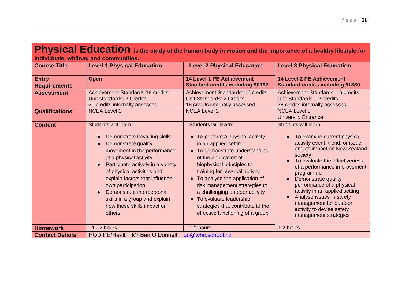| Physical Education is the study of the human body in motion and the importance of a healthy lifestyle for |                                                                                                                                                                                                                                                                                                                                                                                         |                                                                                                                                                                                                                                                                                                                                                                                                                      |                                                                                                                                                                                                                                                                                                                                                                                                                           |  |
|-----------------------------------------------------------------------------------------------------------|-----------------------------------------------------------------------------------------------------------------------------------------------------------------------------------------------------------------------------------------------------------------------------------------------------------------------------------------------------------------------------------------|----------------------------------------------------------------------------------------------------------------------------------------------------------------------------------------------------------------------------------------------------------------------------------------------------------------------------------------------------------------------------------------------------------------------|---------------------------------------------------------------------------------------------------------------------------------------------------------------------------------------------------------------------------------------------------------------------------------------------------------------------------------------------------------------------------------------------------------------------------|--|
| individuals, whānau and communities.                                                                      |                                                                                                                                                                                                                                                                                                                                                                                         |                                                                                                                                                                                                                                                                                                                                                                                                                      |                                                                                                                                                                                                                                                                                                                                                                                                                           |  |
| <b>Course Title</b>                                                                                       | <b>Level 1 Physical Education</b>                                                                                                                                                                                                                                                                                                                                                       | <b>Level 2 Physical Education</b>                                                                                                                                                                                                                                                                                                                                                                                    | <b>Level 3 Physical Education</b>                                                                                                                                                                                                                                                                                                                                                                                         |  |
| <b>Entry</b><br><b>Requirements</b>                                                                       | <b>Open</b>                                                                                                                                                                                                                                                                                                                                                                             | <b>14 Level 1 PE Achievement</b><br><b>Standard credits including 90962</b>                                                                                                                                                                                                                                                                                                                                          | <b>14 Level 2 PE Achievement</b><br><b>Standard credits including 91330</b>                                                                                                                                                                                                                                                                                                                                               |  |
| <b>Assessment</b>                                                                                         | <b>Achievement Standards:19 credits</b><br>Unit standards: 2 Credits<br>21 credits internally assessed                                                                                                                                                                                                                                                                                  | <b>Achievement Standards: 16 credits</b><br>Unit Standards: 2 Credits<br>18 credits internally assessed                                                                                                                                                                                                                                                                                                              | <b>Achievement Standards: 16 credits</b><br>Unit Standards: 12 credits<br>28 credits internally assessed                                                                                                                                                                                                                                                                                                                  |  |
| <b>Qualifications</b>                                                                                     | <b>NCEA Level 1</b>                                                                                                                                                                                                                                                                                                                                                                     | <b>NCEA Level 2</b>                                                                                                                                                                                                                                                                                                                                                                                                  | <b>NCEA Level 3</b><br><b>University Entrance</b>                                                                                                                                                                                                                                                                                                                                                                         |  |
| <b>Content</b>                                                                                            | <b>Students will learn:</b><br>Demonstrate kayaking skills<br>Demonstrate quality<br>movement in the performance<br>of a physical activity<br>Participate actively in a variety<br>$\bullet$<br>of physical activities and<br>explain factors that influence<br>own participation<br>Demonstrate interpersonal<br>skills in a group and explain<br>how these skills impact on<br>others | Students will learn:<br>• To perform a physical activity<br>in an applied setting<br>To demonstrate understanding<br>of the application of<br>biophysical principles to<br>training for physical activity<br>• To analyse the application of<br>risk management strategies to<br>a challenging outdoor activity<br>• To evaluate leadership<br>strategies that contribute to the<br>effective functioning of a group | <b>Students will learn:</b><br>To examine current physical<br>activity event, trend, or issue<br>and its impact on New Zealand<br>society<br>To evaluate the effectiveness<br>of a performance improvement<br>programme<br>Demonstrate quality<br>performance of a physical<br>activity in an applied setting<br>Analyse issues in safety<br>management for outdoor<br>activity to devise safety<br>management strategies |  |
| <b>Homework</b>                                                                                           | $1 - 2$ hours.                                                                                                                                                                                                                                                                                                                                                                          | 1-2 hours.                                                                                                                                                                                                                                                                                                                                                                                                           | 1-2 hours                                                                                                                                                                                                                                                                                                                                                                                                                 |  |
| <b>Contact Details</b>                                                                                    | HOD PE/Health Mr Ben O'Donnell                                                                                                                                                                                                                                                                                                                                                          | bo@whc.school.nz                                                                                                                                                                                                                                                                                                                                                                                                     |                                                                                                                                                                                                                                                                                                                                                                                                                           |  |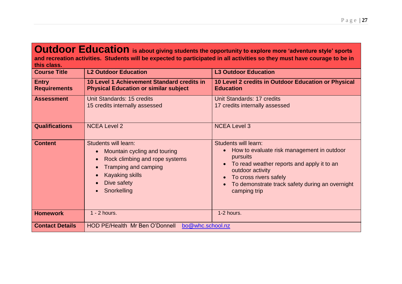**Outdoor Education** is about giving students the opportunity to explore more 'adventure style' sports **and recreation activities. Students will be expected to participated in all activities so they must have courage to be in this class.**

| <b>Course Title</b>                 | <b>L2 Outdoor Education</b>                                                                                                                                                                                    | <b>L3 Outdoor Education</b>                                                                                                                                                                                                                          |
|-------------------------------------|----------------------------------------------------------------------------------------------------------------------------------------------------------------------------------------------------------------|------------------------------------------------------------------------------------------------------------------------------------------------------------------------------------------------------------------------------------------------------|
| <b>Entry</b><br><b>Requirements</b> | 10 Level 1 Achievement Standard credits in<br><b>Physical Education or similar subject</b>                                                                                                                     | 10 Level 2 credits in Outdoor Education or Physical<br><b>Education</b>                                                                                                                                                                              |
| <b>Assessment</b>                   | Unit Standards: 15 credits<br>15 credits internally assessed                                                                                                                                                   | <b>Unit Standards: 17 credits</b><br>17 credits internally assessed                                                                                                                                                                                  |
| <b>Qualifications</b>               | <b>NCEA Level 2</b>                                                                                                                                                                                            | <b>NCEA Level 3</b>                                                                                                                                                                                                                                  |
| <b>Content</b>                      | <b>Students will learn:</b><br>Mountain cycling and touring<br>$\bullet$<br>Rock climbing and rope systems<br><b>Tramping and camping</b><br>$\bullet$<br><b>Kayaking skills</b><br>Dive safety<br>Snorkelling | Students will learn:<br>How to evaluate risk management in outdoor<br><b>pursuits</b><br>To read weather reports and apply it to an<br>outdoor activity<br>To cross rivers safely<br>To demonstrate track safety during an overnight<br>camping trip |
| <b>Homework</b>                     | $1 - 2$ hours.                                                                                                                                                                                                 | 1-2 hours.                                                                                                                                                                                                                                           |
| <b>Contact Details</b>              | HOD PE/Health Mr Ben O'Donnell<br>bo@whc.school.nz                                                                                                                                                             |                                                                                                                                                                                                                                                      |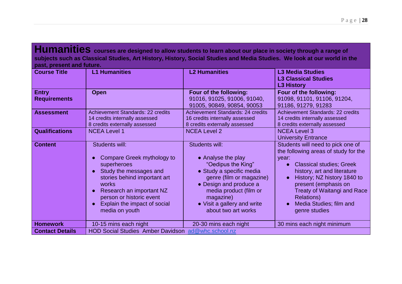|                           | Humanities courses are designed to allow students to learn about our place in society through a range of                |  |
|---------------------------|-------------------------------------------------------------------------------------------------------------------------|--|
|                           | subjects such as Classical Studies, Art History, History, Social Studies and Media Studies. We look at our world in the |  |
| past, present and future. |                                                                                                                         |  |
|                           | _____                                                                                                                   |  |

| <b>Course Title</b>                 | <b>L1 Humanities</b>                                                                                                                                                                                                                     | <b>L2 Humanities</b>                                                                                                                                                                                                                             | <b>L3 Media Studies</b><br><b>L3 Classical Studies</b><br><b>L3 History</b>                                                                                                                                                                                                                                       |
|-------------------------------------|------------------------------------------------------------------------------------------------------------------------------------------------------------------------------------------------------------------------------------------|--------------------------------------------------------------------------------------------------------------------------------------------------------------------------------------------------------------------------------------------------|-------------------------------------------------------------------------------------------------------------------------------------------------------------------------------------------------------------------------------------------------------------------------------------------------------------------|
| <b>Entry</b><br><b>Requirements</b> | <b>Open</b>                                                                                                                                                                                                                              | Four of the following:<br>91016, 91025, 91006, 91040,<br>91005, 90849, 90854, 90053                                                                                                                                                              | Four of the following:<br>91098, 91101, 91106, 91204,<br>91186, 91279, 91283                                                                                                                                                                                                                                      |
| <b>Assessment</b>                   | <b>Achievement Standards: 22 credits</b><br>14 credits internally assessed<br>8 credits externally assessed                                                                                                                              | <b>Achievement Standards: 24 credits</b><br>16 credits internally assessed<br>8 credits externally assessed                                                                                                                                      | <b>Achievement Standards: 22 credits</b><br>14 credits internally assessed<br>8 credits externally assessed                                                                                                                                                                                                       |
| <b>Qualifications</b>               | <b>NCEA Level 1</b>                                                                                                                                                                                                                      | <b>NCEA Level 2</b>                                                                                                                                                                                                                              | <b>NCEA Level 3</b><br><b>University Entrance</b>                                                                                                                                                                                                                                                                 |
| <b>Content</b>                      | Students will:<br>Compare Greek mythology to<br>superheroes<br>Study the messages and<br>stories behind important art<br>works<br>Research an important NZ<br>person or historic event<br>Explain the impact of social<br>media on youth | <b>Students will:</b><br>• Analyse the play<br>"Oedipus the King"<br>• Study a specific media<br>genre (film or magazine)<br>• Design and produce a<br>media product (film or<br>magazine)<br>• Visit a gallery and write<br>about two art works | Students will need to pick one of<br>the following areas of study for the<br>year:<br><b>Classical studies; Greek</b><br>$\bullet$<br>history, art and literature<br>History; NZ history 1840 to<br>present (emphasis on<br>Treaty of Waitangi and Race<br>Relations)<br>Media Studies; film and<br>genre studies |
| <b>Homework</b>                     | 10-15 mins each night                                                                                                                                                                                                                    | 20-30 mins each night                                                                                                                                                                                                                            | 30 mins each night minimum                                                                                                                                                                                                                                                                                        |
| <b>Contact Details</b>              | HOD Social Studies Amber Davidson ad@whc.school.nz                                                                                                                                                                                       |                                                                                                                                                                                                                                                  |                                                                                                                                                                                                                                                                                                                   |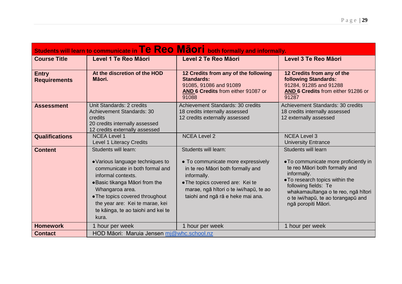| Students will learn to communicate in Te Reo Maori both formally and informally. |                                                                                                                                                                                                                                                                                            |                                                                                                                                                                                                                                   |                                                                                                                                                                                                                                                                              |  |
|----------------------------------------------------------------------------------|--------------------------------------------------------------------------------------------------------------------------------------------------------------------------------------------------------------------------------------------------------------------------------------------|-----------------------------------------------------------------------------------------------------------------------------------------------------------------------------------------------------------------------------------|------------------------------------------------------------------------------------------------------------------------------------------------------------------------------------------------------------------------------------------------------------------------------|--|
| <b>Course Title</b>                                                              | Level 1 Te Reo Māori                                                                                                                                                                                                                                                                       | Level 2 Te Reo Māori                                                                                                                                                                                                              | Level 3 Te Reo Māori                                                                                                                                                                                                                                                         |  |
| <b>Entry</b><br><b>Requirements</b>                                              | At the discretion of the HOD<br>Māori.                                                                                                                                                                                                                                                     | 12 Credits from any of the following<br><b>Standards:</b><br>91085, 91086 and 91089<br>AND 6 Credits from either 91087 or<br>91088                                                                                                | 12 Credits from any of the<br><b>following Standards:</b><br>91284, 91285 and 91288<br>AND 6 Credits from either 91286 or<br>91287                                                                                                                                           |  |
| <b>Assessment</b>                                                                | Unit Standards: 2 credits<br><b>Achievement Standards: 30</b><br>credits<br>20 credits internally assessed<br>12 credits externally assessed                                                                                                                                               | Achievement Standards: 30 credits<br>18 credits internally assessed<br>12 credits externally assessed                                                                                                                             | Achievement Standards: 30 credits<br>18 credits internally assessed<br>12 externally assessed                                                                                                                                                                                |  |
| <b>Qualifications</b>                                                            | <b>NCEA Level 1</b><br><b>Level 1 Literacy Credits</b>                                                                                                                                                                                                                                     | <b>NCEA Level 2</b>                                                                                                                                                                                                               | <b>NCEA Level 3</b><br><b>University Entrance</b>                                                                                                                                                                                                                            |  |
| <b>Content</b>                                                                   | Students will learn:<br>· Various language techniques to<br>communicate in both formal and<br>informal contexts.<br>• Basic tikanga Māori from the<br>Whangaroa area.<br>• The topics covered throughout<br>the year are: Kei te marae, kei<br>te kāinga, te ao taiohi and kei te<br>kura. | Students will learn:<br>• To communicate more expressively<br>in te reo Māori both formally and<br>informally.<br>• The topics covered are: Kei te<br>marae, ngā hītori o te iwi/hapū, te ao<br>taiohi and ngā rā e heke mai ana. | Students will learn<br>. To communicate more proficiently in<br>te reo Māori both formally and<br>informally.<br>. To research topics within the<br>following fields: Te<br>whakamauītanga o te reo, ngā hītori<br>o te iwi/hapū, te ao torangapū and<br>ngā poropiti Māori. |  |
| <b>Homework</b>                                                                  | 1 hour per week                                                                                                                                                                                                                                                                            | 1 hour per week                                                                                                                                                                                                                   | 1 hour per week                                                                                                                                                                                                                                                              |  |
| <b>Contact</b>                                                                   | HOD Māori: Maruia Jensen mj@whc.school.nz                                                                                                                                                                                                                                                  |                                                                                                                                                                                                                                   |                                                                                                                                                                                                                                                                              |  |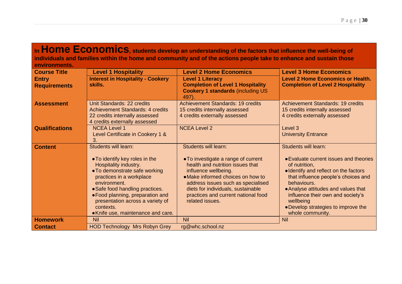**In Home Economics, students develop an understanding of the factors that influence the well-being of individuals and families within the home and community and of the actions people take to enhance and sustain those environments.**

| <b>Course Title</b>                 | <b>Level 1 Hospitality</b>                                                                                                                                                                                                                                                                                                        | <b>Level 2 Home Economics</b>                                                                                                                                                                                                                                                                             | <b>Level 3 Home Economics</b>                                                                                                                                                                                                                                                                                                             |
|-------------------------------------|-----------------------------------------------------------------------------------------------------------------------------------------------------------------------------------------------------------------------------------------------------------------------------------------------------------------------------------|-----------------------------------------------------------------------------------------------------------------------------------------------------------------------------------------------------------------------------------------------------------------------------------------------------------|-------------------------------------------------------------------------------------------------------------------------------------------------------------------------------------------------------------------------------------------------------------------------------------------------------------------------------------------|
| <b>Entry</b><br><b>Requirements</b> | <b>Interest in Hospitality - Cookery</b><br>skills.                                                                                                                                                                                                                                                                               | <b>Level 1 Literacy</b><br><b>Completion of Level 1 Hospitality</b><br><b>Cookery 1 standards (including US</b><br>497).                                                                                                                                                                                  | <b>Level 2 Home Economics or Health.</b><br><b>Completion of Level 2 Hospitality</b>                                                                                                                                                                                                                                                      |
| <b>Assessment</b>                   | Unit Standards: 22 credits<br><b>Achievement Standards: 4 credits</b><br>22 credits internally assessed<br>4 credits externally assessed                                                                                                                                                                                          | <b>Achievement Standards: 19 credits</b><br>15 credits internally assessed<br>4 credits externally assessed                                                                                                                                                                                               | <b>Achievement Standards: 19 credits</b><br>15 credits internally assessed<br>4 credits externally assessed                                                                                                                                                                                                                               |
| <b>Qualifications</b>               | <b>NCEA Level 1</b><br>Level Certificate in Cookery 1 &<br>З.                                                                                                                                                                                                                                                                     | <b>NCEA Level 2</b>                                                                                                                                                                                                                                                                                       | Level 3<br><b>University Entrance</b>                                                                                                                                                                                                                                                                                                     |
| <b>Content</b>                      | <b>Students will learn:</b><br>• To identify key roles in the<br>Hospitality industry.<br>• To demonstrate safe working<br>practices in a workplace<br>environment.<br>• Safe food handling practices.<br>• Food planning, preparation and<br>presentation across a variety of<br>contexts.<br>• Knife use, maintenance and care. | <b>Students will learn:</b><br>• To investigate a range of current<br>health and nutrition issues that<br>influence wellbeing.<br>• Make informed choices on how to<br>address issues such as specialised<br>diets for individuals, sustainable<br>practices and current national food<br>related issues. | <b>Students will learn:</b><br>• Evaluate current issues and theories<br>of nutrition,<br>• Identify and reflect on the factors<br>that influence people's choices and<br>behaviours.<br>• Analyse attitudes and values that<br>influence their own and society's<br>wellbeing<br>• Develop strategies to improve the<br>whole community. |
| <b>Homework</b>                     | <b>Nil</b>                                                                                                                                                                                                                                                                                                                        | <b>Nil</b>                                                                                                                                                                                                                                                                                                | <b>Nil</b>                                                                                                                                                                                                                                                                                                                                |
| <b>Contact</b>                      | <b>HOD Technology Mrs Robyn Grey</b>                                                                                                                                                                                                                                                                                              | rg@whc.school.nz                                                                                                                                                                                                                                                                                          |                                                                                                                                                                                                                                                                                                                                           |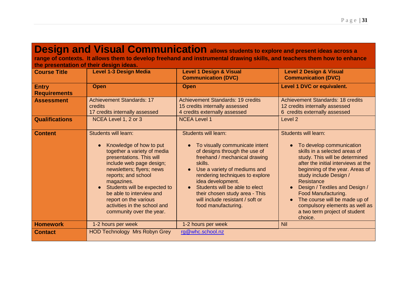**Design and Visual Communication allows students to explore and present ideas across a range of contexts. It allows them to develop freehand and instrumental drawing skills, and teachers them how to enhance the presentation of their design ideas.**

| <b>Course Title</b>                 | <b>Level 1-3 Design Media</b>                                                                                                                                                                                                                                                                                                                                    | <b>Level 1 Design &amp; Visual</b><br><b>Communication (DVC)</b>                                                                                                                                                                                                                                                                                                                            | <b>Level 2 Design &amp; Visual</b><br><b>Communication (DVC)</b>                                                                                                                                                                                                                                                                                                                                                     |
|-------------------------------------|------------------------------------------------------------------------------------------------------------------------------------------------------------------------------------------------------------------------------------------------------------------------------------------------------------------------------------------------------------------|---------------------------------------------------------------------------------------------------------------------------------------------------------------------------------------------------------------------------------------------------------------------------------------------------------------------------------------------------------------------------------------------|----------------------------------------------------------------------------------------------------------------------------------------------------------------------------------------------------------------------------------------------------------------------------------------------------------------------------------------------------------------------------------------------------------------------|
| <b>Entry</b><br><b>Requirements</b> | <b>Open</b>                                                                                                                                                                                                                                                                                                                                                      | <b>Open</b>                                                                                                                                                                                                                                                                                                                                                                                 | <b>Level 1 DVC or equivalent.</b>                                                                                                                                                                                                                                                                                                                                                                                    |
| <b>Assessment</b>                   | <b>Achievement Standards: 17</b><br>credits<br>17 credits internally assessed                                                                                                                                                                                                                                                                                    | <b>Achievement Standards: 19 credits</b><br>15 credits internally assessed<br>4 credits externally assessed                                                                                                                                                                                                                                                                                 | <b>Achievement Standards: 18 credits</b><br>12 credits internally assessed<br>6 credits externally assessed                                                                                                                                                                                                                                                                                                          |
| <b>Qualifications</b>               | NCEA Level 1, 2 or 3                                                                                                                                                                                                                                                                                                                                             | <b>NCEA Level 1</b>                                                                                                                                                                                                                                                                                                                                                                         | Level <sub>2</sub>                                                                                                                                                                                                                                                                                                                                                                                                   |
| <b>Content</b>                      | <b>Students will learn:</b><br>Knowledge of how to put<br>together a variety of media<br>presentations. This will<br>include web page design;<br>newsletters; flyers; news<br>reports; and school<br>magazines.<br>Students will be expected to<br>be able to interview and<br>report on the various<br>activities in the school and<br>community over the year. | <b>Students will learn:</b><br>To visually communicate intent<br>of designs through the use of<br>freehand / mechanical drawing<br>skills.<br>Use a variety of mediums and<br>$\bullet$<br>rendering techniques to explore<br>idea development.<br>Students will be able to elect<br>$\bullet$<br>their chosen study area - This<br>will include resistant / soft or<br>food manufacturing. | <b>Students will learn:</b><br>To develop communication<br>skills in a selected areas of<br>study. This will be determined<br>after the initial interviews at the<br>beginning of the year. Areas of<br>study include Design /<br>Resistance<br>Design / Textiles and Design /<br>Food Manufacturing.<br>The course will be made up of<br>compulsory elements as well as<br>a two term project of student<br>choice. |
| <b>Homework</b>                     | 1-2 hours per week                                                                                                                                                                                                                                                                                                                                               | 1-2 hours per week                                                                                                                                                                                                                                                                                                                                                                          | <b>Nil</b>                                                                                                                                                                                                                                                                                                                                                                                                           |
| <b>Contact</b>                      | <b>HOD Technology Mrs Robyn Grey</b>                                                                                                                                                                                                                                                                                                                             | rg@whc.school.nz                                                                                                                                                                                                                                                                                                                                                                            |                                                                                                                                                                                                                                                                                                                                                                                                                      |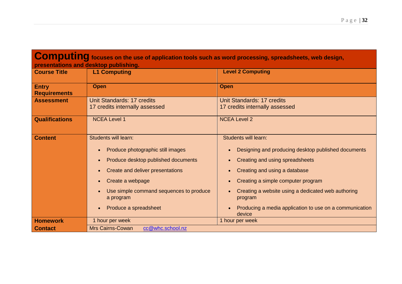#### **Computing focuses on the use of application tools such as word processing, spreadsheets, web design, presentations and desktop publishing.**

| <b>Course Title</b>                 | <b>L1 Computing</b>                                                                                                                                                                                                                                                                                                            | <b>Level 2 Computing</b>                                                                                                                                                                                                                                                                                                           |
|-------------------------------------|--------------------------------------------------------------------------------------------------------------------------------------------------------------------------------------------------------------------------------------------------------------------------------------------------------------------------------|------------------------------------------------------------------------------------------------------------------------------------------------------------------------------------------------------------------------------------------------------------------------------------------------------------------------------------|
| <b>Entry</b><br><b>Requirements</b> | <b>Open</b>                                                                                                                                                                                                                                                                                                                    | <b>Open</b>                                                                                                                                                                                                                                                                                                                        |
| <b>Assessment</b>                   | <b>Unit Standards: 17 credits</b><br>17 credits internally assessed                                                                                                                                                                                                                                                            | <b>Unit Standards: 17 credits</b><br>17 credits internally assessed                                                                                                                                                                                                                                                                |
| <b>Qualifications</b>               | <b>NCEA Level 1</b>                                                                                                                                                                                                                                                                                                            | <b>NCEA Level 2</b>                                                                                                                                                                                                                                                                                                                |
| <b>Content</b>                      | <b>Students will learn:</b><br>Produce photographic still images<br>$\bullet$<br>Produce desktop published documents<br>$\bullet$<br>Create and deliver presentations<br>$\bullet$<br>Create a webpage<br>$\bullet$<br>Use simple command sequences to produce<br>$\bullet$<br>a program<br>Produce a spreadsheet<br>$\bullet$ | <b>Students will learn:</b><br>Designing and producing desktop published documents<br>Creating and using spreadsheets<br>Creating and using a database<br>Creating a simple computer program<br>Creating a website using a dedicated web authoring<br>program<br>Producing a media application to use on a communication<br>device |
| <b>Homework</b>                     | 1 hour per week                                                                                                                                                                                                                                                                                                                | 1 hour per week                                                                                                                                                                                                                                                                                                                    |
| <b>Contact</b>                      | <b>Mrs Cairns-Cowan</b><br>cc@whc.school.nz                                                                                                                                                                                                                                                                                    |                                                                                                                                                                                                                                                                                                                                    |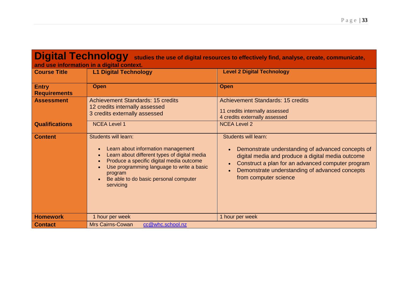### **Digital Technology studies the use of digital resources to effectively find, analyse, create, communicate, and use information in a digital context.**

| <b>Course Title</b>                 | <b>L1 Digital Technology</b>                                                                                                                                                                                                                                                                                                     | <b>Level 2 Digital Technology</b>                                                                                                                                                                                                                                     |
|-------------------------------------|----------------------------------------------------------------------------------------------------------------------------------------------------------------------------------------------------------------------------------------------------------------------------------------------------------------------------------|-----------------------------------------------------------------------------------------------------------------------------------------------------------------------------------------------------------------------------------------------------------------------|
| <b>Entry</b><br><b>Requirements</b> | <b>Open</b>                                                                                                                                                                                                                                                                                                                      | <b>Open</b>                                                                                                                                                                                                                                                           |
| <b>Assessment</b>                   | <b>Achievement Standards: 15 credits</b><br>12 credits internally assessed<br>3 credits externally assessed                                                                                                                                                                                                                      | <b>Achievement Standards: 15 credits</b><br>11 credits internally assessed<br>4 credits externally assessed                                                                                                                                                           |
| <b>Qualifications</b>               | <b>NCEA Level 1</b>                                                                                                                                                                                                                                                                                                              | <b>NCEA Level 2</b>                                                                                                                                                                                                                                                   |
| <b>Content</b>                      | <b>Students will learn:</b><br>Learn about information management<br>$\bullet$<br>Learn about different types of digital media<br>$\bullet$<br>Produce a specific digital media outcome<br>$\bullet$<br>Use programming language to write a basic<br>$\epsilon$<br>program<br>Be able to do basic personal computer<br>servicing | <b>Students will learn:</b><br>Demonstrate understanding of advanced concepts of<br>digital media and produce a digital media outcome<br>Construct a plan for an advanced computer program<br>Demonstrate understanding of advanced concepts<br>from computer science |
| <b>Homework</b>                     | 1 hour per week                                                                                                                                                                                                                                                                                                                  | 1 hour per week                                                                                                                                                                                                                                                       |
| <b>Contact</b>                      | <b>Mrs Cairns-Cowan</b><br>cc@whc.school.nz                                                                                                                                                                                                                                                                                      |                                                                                                                                                                                                                                                                       |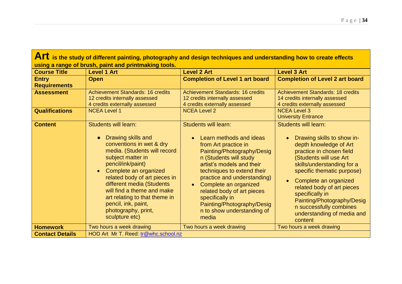| Art is the study of different painting, photography and design techniques and understanding how to create effects |                                  |               |        |  |
|-------------------------------------------------------------------------------------------------------------------|----------------------------------|---------------|--------|--|
| using a range of brush, paint and printmaking tools.                                                              |                                  |               |        |  |
| $COMICA$ Title                                                                                                    | $\frac{1}{2}$ over $\frac{1}{2}$ | $1$ and 2 Art | 100028 |  |

| <b>Course Title</b>                        | <b>Level 1 Art</b>                                                                                                                                                                                                                                                                                                                                                            | <b>Level 2 Art</b>                                                                                                                                                                                                                                                                                                                                                              | <b>Level 3 Art</b>                                                                                                                                                                                                                                                                                                                                                         |
|--------------------------------------------|-------------------------------------------------------------------------------------------------------------------------------------------------------------------------------------------------------------------------------------------------------------------------------------------------------------------------------------------------------------------------------|---------------------------------------------------------------------------------------------------------------------------------------------------------------------------------------------------------------------------------------------------------------------------------------------------------------------------------------------------------------------------------|----------------------------------------------------------------------------------------------------------------------------------------------------------------------------------------------------------------------------------------------------------------------------------------------------------------------------------------------------------------------------|
| <b>Entry</b><br><b>Requirements</b>        | <b>Open</b>                                                                                                                                                                                                                                                                                                                                                                   | <b>Completion of Level 1 art board</b>                                                                                                                                                                                                                                                                                                                                          | <b>Completion of Level 2 art board</b>                                                                                                                                                                                                                                                                                                                                     |
| <b>Assessment</b><br><b>Qualifications</b> | <b>Achievement Standards: 16 credits</b><br>12 credits internally assessed<br>4 credits externally assessed<br><b>NCEA Level 1</b>                                                                                                                                                                                                                                            | <b>Achievement Standards: 16 credits</b><br>12 credits internally assessed<br>4 credits externally assessed<br><b>NCEA Level 2</b>                                                                                                                                                                                                                                              | <b>Achievement Standards: 18 credits</b><br>14 credits internally assessed<br>4 credits externally assessed<br><b>NCEA Level 3</b>                                                                                                                                                                                                                                         |
|                                            |                                                                                                                                                                                                                                                                                                                                                                               |                                                                                                                                                                                                                                                                                                                                                                                 | <b>University Entrance</b>                                                                                                                                                                                                                                                                                                                                                 |
| <b>Content</b>                             | <b>Students will learn:</b><br>Drawing skills and<br>conventions in wet & dry<br>media. (Students will record<br>subject matter in<br>pencil/ink/paint)<br>Complete an organized<br>related body of art pieces in<br>different media (Students<br>will find a theme and make<br>art relating to that theme in<br>pencil, ink, paint,<br>photography, print,<br>sculpture etc) | <b>Students will learn:</b><br>Learn methods and ideas<br>from Art practice in<br>Painting/Photography/Desig<br>n (Students will study<br>artist's models and their<br>techniques to extend their<br>practice and understanding)<br>Complete an organized<br>related body of art pieces<br>specifically in<br>Painting/Photography/Desig<br>n to show understanding of<br>media | Students will learn:<br>Drawing skills to show in-<br>depth knowledge of Art<br>practice in chosen field<br>(Students will use Art<br>skills/understanding for a<br>specific thematic purpose)<br>Complete an organized<br>related body of art pieces<br>specifically in<br>Painting/Photography/Desig<br>n successfully combines<br>understanding of media and<br>content |
| <b>Homework</b>                            | Two hours a week drawing                                                                                                                                                                                                                                                                                                                                                      | Two hours a week drawing                                                                                                                                                                                                                                                                                                                                                        | Two hours a week drawing                                                                                                                                                                                                                                                                                                                                                   |
| <b>Contact Details</b>                     | HOD Art Mr T. Reed: tr@whc.school.nz                                                                                                                                                                                                                                                                                                                                          |                                                                                                                                                                                                                                                                                                                                                                                 |                                                                                                                                                                                                                                                                                                                                                                            |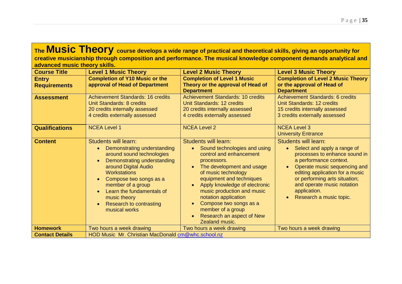**The Music Theory course develops a wide range of practical and theoretical skills, giving an opportunity for creative musicianship through composition and performance. The musical knowledge component demands analytical and advanced music theory skills.**

| <b>Course Title</b>                 | <b>Level 1 Music Theory</b>                                                                                                                                                                                                                                                                                                       | <b>Level 2 Music Theory</b>                                                                                                                                                                                                                                                                                                                                                | <b>Level 3 Music Theory</b>                                                                                                                                                                                                                                                                                                               |
|-------------------------------------|-----------------------------------------------------------------------------------------------------------------------------------------------------------------------------------------------------------------------------------------------------------------------------------------------------------------------------------|----------------------------------------------------------------------------------------------------------------------------------------------------------------------------------------------------------------------------------------------------------------------------------------------------------------------------------------------------------------------------|-------------------------------------------------------------------------------------------------------------------------------------------------------------------------------------------------------------------------------------------------------------------------------------------------------------------------------------------|
| <b>Entry</b><br><b>Requirements</b> | <b>Completion of Y10 Music or the</b><br>approval of Head of Department                                                                                                                                                                                                                                                           | <b>Completion of Level 1 Music</b><br>Theory or the approval of Head of                                                                                                                                                                                                                                                                                                    | <b>Completion of Level 2 Music Theory</b><br>or the approval of Head of                                                                                                                                                                                                                                                                   |
|                                     |                                                                                                                                                                                                                                                                                                                                   | <b>Department</b>                                                                                                                                                                                                                                                                                                                                                          | <b>Department</b>                                                                                                                                                                                                                                                                                                                         |
| <b>Assessment</b>                   | <b>Achievement Standards: 16 credits</b><br><b>Unit Standards: 8 credits</b><br>20 credits internally assessed<br>4 credits externally assessed                                                                                                                                                                                   | <b>Achievement Standards: 10 credits</b><br>Unit Standards: 12 credits<br>20 credits internally assessed<br>4 credits externally assessed                                                                                                                                                                                                                                  | <b>Achievement Standards: 6 credits</b><br>Unit Standards: 12 credits<br>15 credits internally assessed<br>3 credits externally assessed                                                                                                                                                                                                  |
| <b>Qualifications</b>               | <b>NCEA Level 1</b>                                                                                                                                                                                                                                                                                                               | <b>NCEA Level 2</b>                                                                                                                                                                                                                                                                                                                                                        | <b>NCEA Level 3</b><br><b>University Entrance</b>                                                                                                                                                                                                                                                                                         |
| <b>Content</b>                      | <b>Students will learn:</b><br>Demonstrating understanding<br>around sound technologies<br>Demonstrating understanding<br>around Digital Audio<br><b>Workstations</b><br>Compose two songs as a<br>member of a group<br>Learn the fundamentals of<br>music theory<br><b>Research to contrasting</b><br>$\bullet$<br>musical works | <b>Students will learn:</b><br>Sound technologies and using<br>control and enhancement<br>processors.<br>The development and usage<br>of music technology<br>equipment and techniques<br>Apply knowledge of electronic<br>music production and music<br>notation application<br>Compose two songs as a<br>member of a group<br>Research an aspect of New<br>Zealand music. | <b>Students will learn:</b><br>Select and apply a range of<br>$\bullet$<br>processes to enhance sound in<br>a performance context.<br>Operate music sequencing and<br>$\bullet$<br>editing application for a music<br>or performing arts situation;<br>and operate music notation<br>application.<br>Research a music topic.<br>$\bullet$ |
| <b>Homework</b>                     | Two hours a week drawing                                                                                                                                                                                                                                                                                                          | Two hours a week drawing                                                                                                                                                                                                                                                                                                                                                   | Two hours a week drawing                                                                                                                                                                                                                                                                                                                  |
| <b>Contact Details</b>              | HOD Music Mr. Christian MacDonald cm@whc.school.nz                                                                                                                                                                                                                                                                                |                                                                                                                                                                                                                                                                                                                                                                            |                                                                                                                                                                                                                                                                                                                                           |